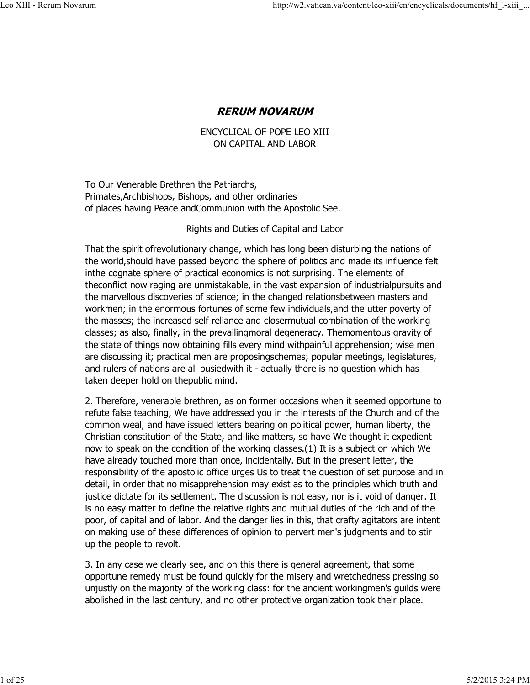## **RERUM NOVARUM**

ENCYCLICAL OF POPE LEO XIII ON CAPITAL AND LABOR

To Our Venerable Brethren the Patriarchs, Primates,Archbishops, Bishops, and other ordinaries of places having Peace andCommunion with the Apostolic See.

## Rights and Duties of Capital and Labor

That the spirit ofrevolutionary change, which has long been disturbing the nations of the world,should have passed beyond the sphere of politics and made its influence felt inthe cognate sphere of practical economics is not surprising. The elements of theconflict now raging are unmistakable, in the vast expansion of industrialpursuits and the marvellous discoveries of science; in the changed relationsbetween masters and workmen; in the enormous fortunes of some few individuals,and the utter poverty of the masses; the increased self reliance and closermutual combination of the working classes; as also, finally, in the prevailingmoral degeneracy. Themomentous gravity of the state of things now obtaining fills every mind withpainful apprehension; wise men are discussing it; practical men are proposingschemes; popular meetings, legislatures, and rulers of nations are all busiedwith it - actually there is no question which has taken deeper hold on thepublic mind.

2. Therefore, venerable brethren, as on former occasions when it seemed opportune to refute false teaching, We have addressed you in the interests of the Church and of the common weal, and have issued letters bearing on political power, human liberty, the Christian constitution of the State, and like matters, so have We thought it expedient now to speak on the condition of the working classes.(1) It is a subject on which We have already touched more than once, incidentally. But in the present letter, the responsibility of the apostolic office urges Us to treat the question of set purpose and in detail, in order that no misapprehension may exist as to the principles which truth and justice dictate for its settlement. The discussion is not easy, nor is it void of danger. It is no easy matter to define the relative rights and mutual duties of the rich and of the poor, of capital and of labor. And the danger lies in this, that crafty agitators are intent on making use of these differences of opinion to pervert men's judgments and to stir up the people to revolt.

3. In any case we clearly see, and on this there is general agreement, that some opportune remedy must be found quickly for the misery and wretchedness pressing so unjustly on the majority of the working class: for the ancient workingmen's guilds were abolished in the last century, and no other protective organization took their place.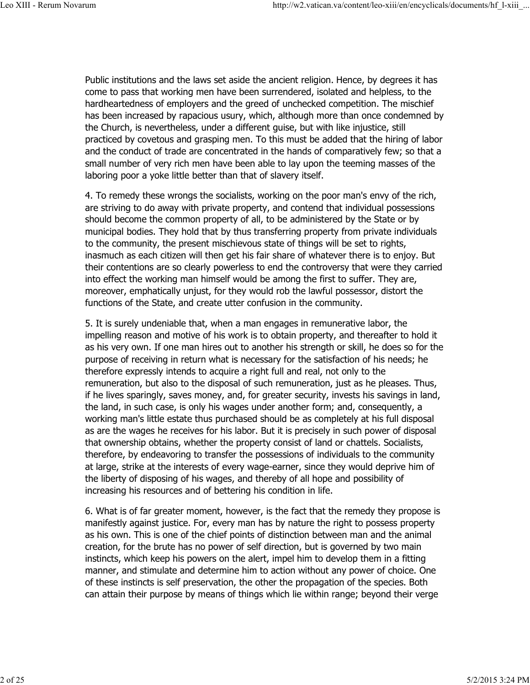Public institutions and the laws set aside the ancient religion. Hence, by degrees it has come to pass that working men have been surrendered, isolated and helpless, to the hardheartedness of employers and the greed of unchecked competition. The mischief has been increased by rapacious usury, which, although more than once condemned by the Church, is nevertheless, under a different guise, but with like injustice, still practiced by covetous and grasping men. To this must be added that the hiring of labor and the conduct of trade are concentrated in the hands of comparatively few; so that a small number of very rich men have been able to lay upon the teeming masses of the laboring poor a yoke little better than that of slavery itself.

4. To remedy these wrongs the socialists, working on the poor man's envy of the rich, are striving to do away with private property, and contend that individual possessions should become the common property of all, to be administered by the State or by municipal bodies. They hold that by thus transferring property from private individuals to the community, the present mischievous state of things will be set to rights, inasmuch as each citizen will then get his fair share of whatever there is to enjoy. But their contentions are so clearly powerless to end the controversy that were they carried into effect the working man himself would be among the first to suffer. They are, moreover, emphatically unjust, for they would rob the lawful possessor, distort the functions of the State, and create utter confusion in the community.

5. It is surely undeniable that, when a man engages in remunerative labor, the impelling reason and motive of his work is to obtain property, and thereafter to hold it as his very own. If one man hires out to another his strength or skill, he does so for the purpose of receiving in return what is necessary for the satisfaction of his needs; he therefore expressly intends to acquire a right full and real, not only to the remuneration, but also to the disposal of such remuneration, just as he pleases. Thus, if he lives sparingly, saves money, and, for greater security, invests his savings in land, the land, in such case, is only his wages under another form; and, consequently, a working man's little estate thus purchased should be as completely at his full disposal as are the wages he receives for his labor. But it is precisely in such power of disposal that ownership obtains, whether the property consist of land or chattels. Socialists, therefore, by endeavoring to transfer the possessions of individuals to the community at large, strike at the interests of every wage-earner, since they would deprive him of the liberty of disposing of his wages, and thereby of all hope and possibility of increasing his resources and of bettering his condition in life.

6. What is of far greater moment, however, is the fact that the remedy they propose is manifestly against justice. For, every man has by nature the right to possess property as his own. This is one of the chief points of distinction between man and the animal creation, for the brute has no power of self direction, but is governed by two main instincts, which keep his powers on the alert, impel him to develop them in a fitting manner, and stimulate and determine him to action without any power of choice. One of these instincts is self preservation, the other the propagation of the species. Both can attain their purpose by means of things which lie within range; beyond their verge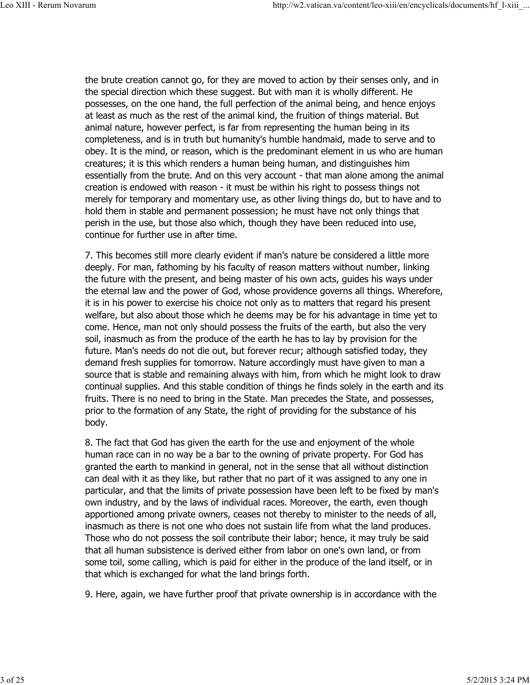the brute creation cannot go, for they are moved to action by their senses only, and in the special direction which these suggest. But with man it is wholly different. He possesses, on the one hand, the full perfection of the animal being, and hence enjoys at least as much as the rest of the animal kind, the fruition of things material. But animal nature, however perfect, is far from representing the human being in its completeness, and is in truth but humanity's humble handmaid, made to serve and to obey. It is the mind, or reason, which is the predominant element in us who are human creatures; it is this which renders a human being human, and distinguishes him essentially from the brute. And on this very account - that man alone among the animal creation is endowed with reason - it must be within his right to possess things not merely for temporary and momentary use, as other living things do, but to have and to hold them in stable and permanent possession; he must have not only things that perish in the use, but those also which, though they have been reduced into use, continue for further use in after time.

7. This becomes still more clearly evident if man's nature be considered a little more deeply. For man, fathoming by his faculty of reason matters without number, linking the future with the present, and being master of his own acts, guides his ways under the eternal law and the power of God, whose providence governs all things. Wherefore, it is in his power to exercise his choice not only as to matters that regard his present welfare, but also about those which he deems may be for his advantage in time yet to come. Hence, man not only should possess the fruits of the earth, but also the very soil, inasmuch as from the produce of the earth he has to lay by provision for the future. Man's needs do not die out, but forever recur; although satisfied today, they demand fresh supplies for tomorrow. Nature accordingly must have given to man a source that is stable and remaining always with him, from which he might look to draw continual supplies. And this stable condition of things he finds solely in the earth and its fruits. There is no need to bring in the State. Man precedes the State, and possesses, prior to the formation of any State, the right of providing for the substance of his body.

8. The fact that God has given the earth for the use and enjoyment of the whole human race can in no way be a bar to the owning of private property. For God has granted the earth to mankind in general, not in the sense that all without distinction can deal with it as they like, but rather that no part of it was assigned to any one in particular, and that the limits of private possession have been left to be fixed by man's own industry, and by the laws of individual races. Moreover, the earth, even though apportioned among private owners, ceases not thereby to minister to the needs of all, inasmuch as there is not one who does not sustain life from what the land produces. Those who do not possess the soil contribute their labor; hence, it may truly be said that all human subsistence is derived either from labor on one's own land, or from some toil, some calling, which is paid for either in the produce of the land itself, or in that which is exchanged for what the land brings forth.

9. Here, again, we have further proof that private ownership is in accordance with the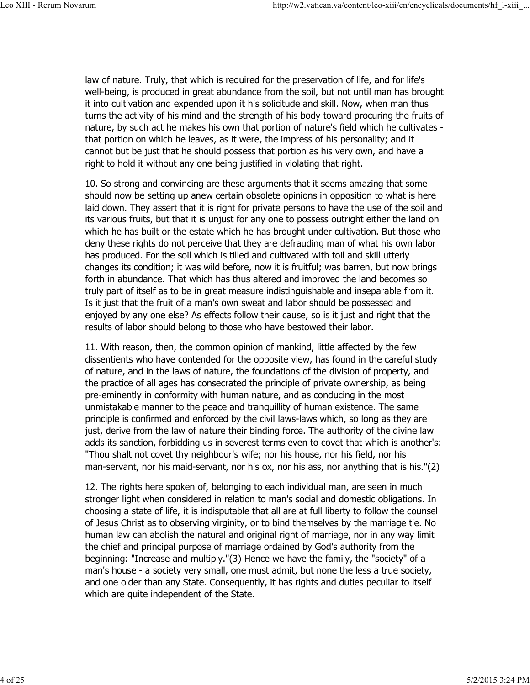law of nature. Truly, that which is required for the preservation of life, and for life's well-being, is produced in great abundance from the soil, but not until man has brought it into cultivation and expended upon it his solicitude and skill. Now, when man thus turns the activity of his mind and the strength of his body toward procuring the fruits of nature, by such act he makes his own that portion of nature's field which he cultivates that portion on which he leaves, as it were, the impress of his personality; and it cannot but be just that he should possess that portion as his very own, and have a right to hold it without any one being justified in violating that right.

10. So strong and convincing are these arguments that it seems amazing that some should now be setting up anew certain obsolete opinions in opposition to what is here laid down. They assert that it is right for private persons to have the use of the soil and its various fruits, but that it is unjust for any one to possess outright either the land on which he has built or the estate which he has brought under cultivation. But those who deny these rights do not perceive that they are defrauding man of what his own labor has produced. For the soil which is tilled and cultivated with toil and skill utterly changes its condition; it was wild before, now it is fruitful; was barren, but now brings forth in abundance. That which has thus altered and improved the land becomes so truly part of itself as to be in great measure indistinguishable and inseparable from it. Is it just that the fruit of a man's own sweat and labor should be possessed and enjoyed by any one else? As effects follow their cause, so is it just and right that the results of labor should belong to those who have bestowed their labor.

11. With reason, then, the common opinion of mankind, little affected by the few dissentients who have contended for the opposite view, has found in the careful study of nature, and in the laws of nature, the foundations of the division of property, and the practice of all ages has consecrated the principle of private ownership, as being pre-eminently in conformity with human nature, and as conducing in the most unmistakable manner to the peace and tranquillity of human existence. The same principle is confirmed and enforced by the civil laws-laws which, so long as they are just, derive from the law of nature their binding force. The authority of the divine law adds its sanction, forbidding us in severest terms even to covet that which is another's: "Thou shalt not covet thy neighbour's wife; nor his house, nor his field, nor his man-servant, nor his maid-servant, nor his ox, nor his ass, nor anything that is his."(2)

12. The rights here spoken of, belonging to each individual man, are seen in much stronger light when considered in relation to man's social and domestic obligations. In choosing a state of life, it is indisputable that all are at full liberty to follow the counsel of Jesus Christ as to observing virginity, or to bind themselves by the marriage tie. No human law can abolish the natural and original right of marriage, nor in any way limit the chief and principal purpose of marriage ordained by God's authority from the beginning: "Increase and multiply."(3) Hence we have the family, the "society" of a man's house - a society very small, one must admit, but none the less a true society, and one older than any State. Consequently, it has rights and duties peculiar to itself which are quite independent of the State.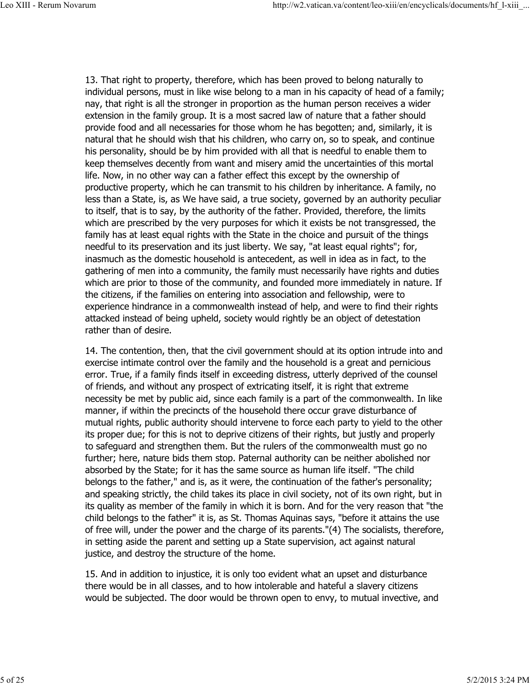13. That right to property, therefore, which has been proved to belong naturally to individual persons, must in like wise belong to a man in his capacity of head of a family; nay, that right is all the stronger in proportion as the human person receives a wider extension in the family group. It is a most sacred law of nature that a father should provide food and all necessaries for those whom he has begotten; and, similarly, it is natural that he should wish that his children, who carry on, so to speak, and continue his personality, should be by him provided with all that is needful to enable them to keep themselves decently from want and misery amid the uncertainties of this mortal life. Now, in no other way can a father effect this except by the ownership of productive property, which he can transmit to his children by inheritance. A family, no less than a State, is, as We have said, a true society, governed by an authority peculiar to itself, that is to say, by the authority of the father. Provided, therefore, the limits which are prescribed by the very purposes for which it exists be not transgressed, the family has at least equal rights with the State in the choice and pursuit of the things needful to its preservation and its just liberty. We say, "at least equal rights"; for, inasmuch as the domestic household is antecedent, as well in idea as in fact, to the gathering of men into a community, the family must necessarily have rights and duties which are prior to those of the community, and founded more immediately in nature. If the citizens, if the families on entering into association and fellowship, were to experience hindrance in a commonwealth instead of help, and were to find their rights attacked instead of being upheld, society would rightly be an object of detestation rather than of desire.

14. The contention, then, that the civil government should at its option intrude into and exercise intimate control over the family and the household is a great and pernicious error. True, if a family finds itself in exceeding distress, utterly deprived of the counsel of friends, and without any prospect of extricating itself, it is right that extreme necessity be met by public aid, since each family is a part of the commonwealth. In like manner, if within the precincts of the household there occur grave disturbance of mutual rights, public authority should intervene to force each party to yield to the other its proper due; for this is not to deprive citizens of their rights, but justly and properly to safeguard and strengthen them. But the rulers of the commonwealth must go no further; here, nature bids them stop. Paternal authority can be neither abolished nor absorbed by the State; for it has the same source as human life itself. "The child belongs to the father," and is, as it were, the continuation of the father's personality; and speaking strictly, the child takes its place in civil society, not of its own right, but in its quality as member of the family in which it is born. And for the very reason that "the child belongs to the father" it is, as St. Thomas Aquinas says, "before it attains the use of free will, under the power and the charge of its parents."(4) The socialists, therefore, in setting aside the parent and setting up a State supervision, act against natural justice, and destroy the structure of the home.

15. And in addition to injustice, it is only too evident what an upset and disturbance there would be in all classes, and to how intolerable and hateful a slavery citizens would be subjected. The door would be thrown open to envy, to mutual invective, and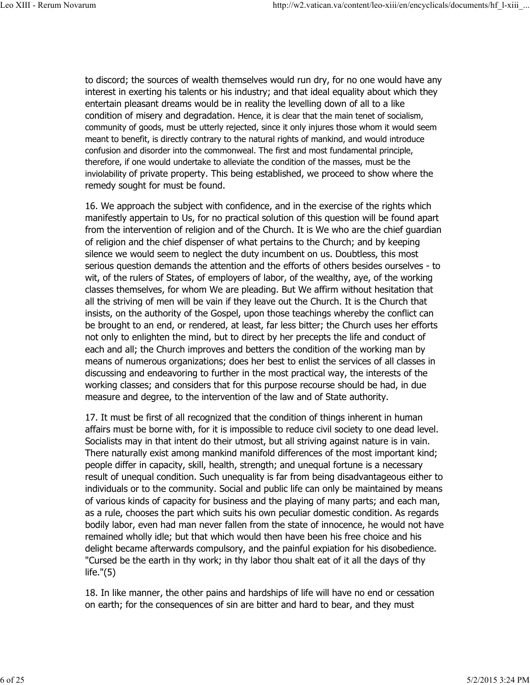to discord; the sources of wealth themselves would run dry, for no one would have any interest in exerting his talents or his industry; and that ideal equality about which they entertain pleasant dreams would be in reality the levelling down of all to a like condition of misery and degradation. Hence, it is clear that the main tenet of socialism, community of goods, must be utterly rejected, since it only injures those whom it would seem meant to benefit, is directly contrary to the natural rights of mankind, and would introduce confusion and disorder into the commonweal. The first and most fundamental principle, therefore, if one would undertake to alleviate the condition of the masses, must be the inviolability of private property. This being established, we proceed to show where the remedy sought for must be found.

16. We approach the subject with confidence, and in the exercise of the rights which manifestly appertain to Us, for no practical solution of this question will be found apart from the intervention of religion and of the Church. It is We who are the chief guardian of religion and the chief dispenser of what pertains to the Church; and by keeping silence we would seem to neglect the duty incumbent on us. Doubtless, this most serious question demands the attention and the efforts of others besides ourselves - to wit, of the rulers of States, of employers of labor, of the wealthy, aye, of the working classes themselves, for whom We are pleading. But We affirm without hesitation that all the striving of men will be vain if they leave out the Church. It is the Church that insists, on the authority of the Gospel, upon those teachings whereby the conflict can be brought to an end, or rendered, at least, far less bitter; the Church uses her efforts not only to enlighten the mind, but to direct by her precepts the life and conduct of each and all; the Church improves and betters the condition of the working man by means of numerous organizations; does her best to enlist the services of all classes in discussing and endeavoring to further in the most practical way, the interests of the working classes; and considers that for this purpose recourse should be had, in due measure and degree, to the intervention of the law and of State authority.

17. It must be first of all recognized that the condition of things inherent in human affairs must be borne with, for it is impossible to reduce civil society to one dead level. Socialists may in that intent do their utmost, but all striving against nature is in vain. There naturally exist among mankind manifold differences of the most important kind; people differ in capacity, skill, health, strength; and unequal fortune is a necessary result of unequal condition. Such unequality is far from being disadvantageous either to individuals or to the community. Social and public life can only be maintained by means of various kinds of capacity for business and the playing of many parts; and each man, as a rule, chooses the part which suits his own peculiar domestic condition. As regards bodily labor, even had man never fallen from the state of innocence, he would not have remained wholly idle; but that which would then have been his free choice and his delight became afterwards compulsory, and the painful expiation for his disobedience. "Cursed be the earth in thy work; in thy labor thou shalt eat of it all the days of thy life."(5)

18. In like manner, the other pains and hardships of life will have no end or cessation on earth; for the consequences of sin are bitter and hard to bear, and they must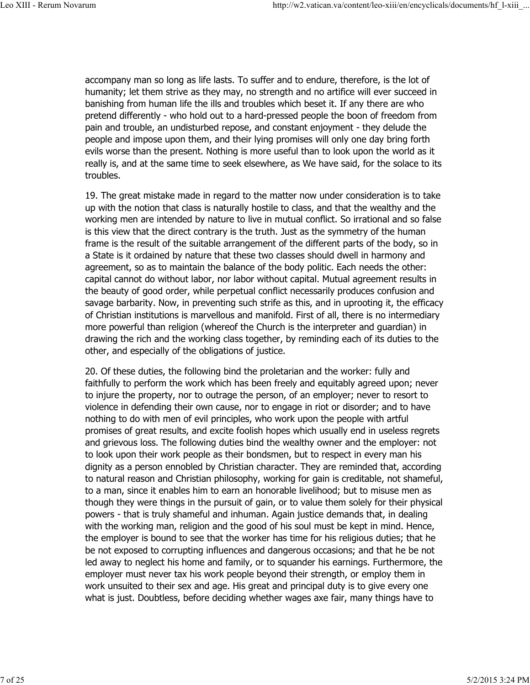accompany man so long as life lasts. To suffer and to endure, therefore, is the lot of humanity; let them strive as they may, no strength and no artifice will ever succeed in banishing from human life the ills and troubles which beset it. If any there are who pretend differently - who hold out to a hard-pressed people the boon of freedom from pain and trouble, an undisturbed repose, and constant enjoyment - they delude the people and impose upon them, and their lying promises will only one day bring forth evils worse than the present. Nothing is more useful than to look upon the world as it really is, and at the same time to seek elsewhere, as We have said, for the solace to its troubles.

19. The great mistake made in regard to the matter now under consideration is to take up with the notion that class is naturally hostile to class, and that the wealthy and the working men are intended by nature to live in mutual conflict. So irrational and so false is this view that the direct contrary is the truth. Just as the symmetry of the human frame is the result of the suitable arrangement of the different parts of the body, so in a State is it ordained by nature that these two classes should dwell in harmony and agreement, so as to maintain the balance of the body politic. Each needs the other: capital cannot do without labor, nor labor without capital. Mutual agreement results in the beauty of good order, while perpetual conflict necessarily produces confusion and savage barbarity. Now, in preventing such strife as this, and in uprooting it, the efficacy of Christian institutions is marvellous and manifold. First of all, there is no intermediary more powerful than religion (whereof the Church is the interpreter and guardian) in drawing the rich and the working class together, by reminding each of its duties to the other, and especially of the obligations of justice.

20. Of these duties, the following bind the proletarian and the worker: fully and faithfully to perform the work which has been freely and equitably agreed upon; never to injure the property, nor to outrage the person, of an employer; never to resort to violence in defending their own cause, nor to engage in riot or disorder; and to have nothing to do with men of evil principles, who work upon the people with artful promises of great results, and excite foolish hopes which usually end in useless regrets and grievous loss. The following duties bind the wealthy owner and the employer: not to look upon their work people as their bondsmen, but to respect in every man his dignity as a person ennobled by Christian character. They are reminded that, according to natural reason and Christian philosophy, working for gain is creditable, not shameful, to a man, since it enables him to earn an honorable livelihood; but to misuse men as though they were things in the pursuit of gain, or to value them solely for their physical powers - that is truly shameful and inhuman. Again justice demands that, in dealing with the working man, religion and the good of his soul must be kept in mind. Hence, the employer is bound to see that the worker has time for his religious duties; that he be not exposed to corrupting influences and dangerous occasions; and that he be not led away to neglect his home and family, or to squander his earnings. Furthermore, the employer must never tax his work people beyond their strength, or employ them in work unsuited to their sex and age. His great and principal duty is to give every one what is just. Doubtless, before deciding whether wages axe fair, many things have to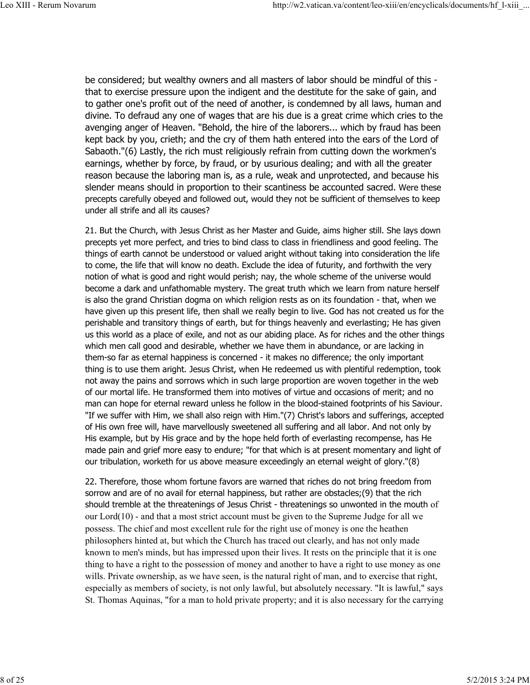be considered; but wealthy owners and all masters of labor should be mindful of this that to exercise pressure upon the indigent and the destitute for the sake of gain, and to gather one's profit out of the need of another, is condemned by all laws, human and divine. To defraud any one of wages that are his due is a great crime which cries to the avenging anger of Heaven. "Behold, the hire of the laborers... which by fraud has been kept back by you, crieth; and the cry of them hath entered into the ears of the Lord of Sabaoth."(6) Lastly, the rich must religiously refrain from cutting down the workmen's earnings, whether by force, by fraud, or by usurious dealing; and with all the greater reason because the laboring man is, as a rule, weak and unprotected, and because his slender means should in proportion to their scantiness be accounted sacred. Were these precepts carefully obeyed and followed out, would they not be sufficient of themselves to keep under all strife and all its causes?

21. But the Church, with Jesus Christ as her Master and Guide, aims higher still. She lays down precepts yet more perfect, and tries to bind class to class in friendliness and good feeling. The things of earth cannot be understood or valued aright without taking into consideration the life to come, the life that will know no death. Exclude the idea of futurity, and forthwith the very notion of what is good and right would perish; nay, the whole scheme of the universe would become a dark and unfathomable mystery. The great truth which we learn from nature herself is also the grand Christian dogma on which religion rests as on its foundation - that, when we have given up this present life, then shall we really begin to live. God has not created us for the perishable and transitory things of earth, but for things heavenly and everlasting; He has given us this world as a place of exile, and not as our abiding place. As for riches and the other things which men call good and desirable, whether we have them in abundance, or are lacking in them-so far as eternal happiness is concerned - it makes no difference; the only important thing is to use them aright. Jesus Christ, when He redeemed us with plentiful redemption, took not away the pains and sorrows which in such large proportion are woven together in the web of our mortal life. He transformed them into motives of virtue and occasions of merit; and no man can hope for eternal reward unless he follow in the blood-stained footprints of his Saviour. "If we suffer with Him, we shall also reign with Him."(7) Christ's labors and sufferings, accepted of His own free will, have marvellously sweetened all suffering and all labor. And not only by His example, but by His grace and by the hope held forth of everlasting recompense, has He made pain and grief more easy to endure; "for that which is at present momentary and light of our tribulation, worketh for us above measure exceedingly an eternal weight of glory."(8)

22. Therefore, those whom fortune favors are warned that riches do not bring freedom from sorrow and are of no avail for eternal happiness, but rather are obstacles;(9) that the rich should tremble at the threatenings of Jesus Christ - threatenings so unwonted in the mouth of our Lord(10) - and that a most strict account must be given to the Supreme Judge for all we possess. The chief and most excellent rule for the right use of money is one the heathen philosophers hinted at, but which the Church has traced out clearly, and has not only made known to men's minds, but has impressed upon their lives. It rests on the principle that it is one thing to have a right to the possession of money and another to have a right to use money as one wills. Private ownership, as we have seen, is the natural right of man, and to exercise that right, especially as members of society, is not only lawful, but absolutely necessary. "It is lawful," says St. Thomas Aquinas, "for a man to hold private property; and it is also necessary for the carrying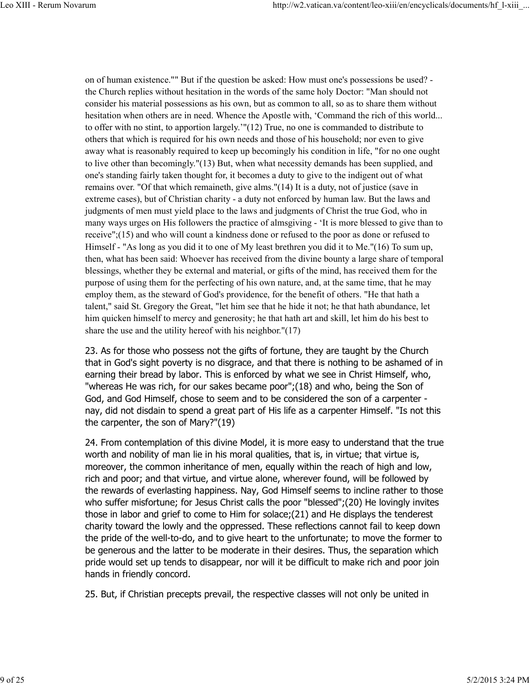on of human existence."" But if the question be asked: How must one's possessions be used? the Church replies without hesitation in the words of the same holy Doctor: "Man should not consider his material possessions as his own, but as common to all, so as to share them without hesitation when others are in need. Whence the Apostle with, 'Command the rich of this world... to offer with no stint, to apportion largely.'"(12) True, no one is commanded to distribute to others that which is required for his own needs and those of his household; nor even to give away what is reasonably required to keep up becomingly his condition in life, "for no one ought to live other than becomingly."(13) But, when what necessity demands has been supplied, and one's standing fairly taken thought for, it becomes a duty to give to the indigent out of what remains over. "Of that which remaineth, give alms."(14) It is a duty, not of justice (save in extreme cases), but of Christian charity - a duty not enforced by human law. But the laws and judgments of men must yield place to the laws and judgments of Christ the true God, who in many ways urges on His followers the practice of almsgiving - 'It is more blessed to give than to receive";(15) and who will count a kindness done or refused to the poor as done or refused to Himself - "As long as you did it to one of My least brethren you did it to Me."(16) To sum up, then, what has been said: Whoever has received from the divine bounty a large share of temporal blessings, whether they be external and material, or gifts of the mind, has received them for the purpose of using them for the perfecting of his own nature, and, at the same time, that he may employ them, as the steward of God's providence, for the benefit of others. "He that hath a talent," said St. Gregory the Great, "let him see that he hide it not; he that hath abundance, let him quicken himself to mercy and generosity; he that hath art and skill, let him do his best to share the use and the utility hereof with his neighbor."(17)

23. As for those who possess not the gifts of fortune, they are taught by the Church that in God's sight poverty is no disgrace, and that there is nothing to be ashamed of in earning their bread by labor. This is enforced by what we see in Christ Himself, who, "whereas He was rich, for our sakes became poor";(18) and who, being the Son of God, and God Himself, chose to seem and to be considered the son of a carpenter nay, did not disdain to spend a great part of His life as a carpenter Himself. "Is not this the carpenter, the son of Mary?"(19)

24. From contemplation of this divine Model, it is more easy to understand that the true worth and nobility of man lie in his moral qualities, that is, in virtue; that virtue is, moreover, the common inheritance of men, equally within the reach of high and low, rich and poor; and that virtue, and virtue alone, wherever found, will be followed by the rewards of everlasting happiness. Nay, God Himself seems to incline rather to those who suffer misfortune; for Jesus Christ calls the poor "blessed";(20) He lovingly invites those in labor and grief to come to Him for solace;(21) and He displays the tenderest charity toward the lowly and the oppressed. These reflections cannot fail to keep down the pride of the well-to-do, and to give heart to the unfortunate; to move the former to be generous and the latter to be moderate in their desires. Thus, the separation which pride would set up tends to disappear, nor will it be difficult to make rich and poor join hands in friendly concord.

25. But, if Christian precepts prevail, the respective classes will not only be united in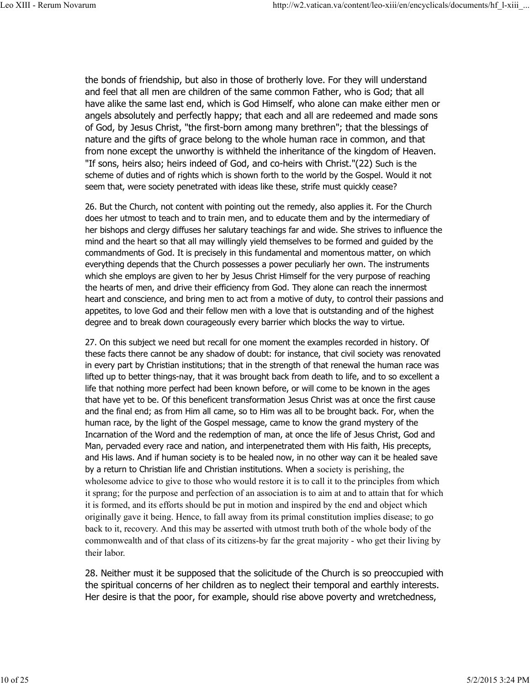the bonds of friendship, but also in those of brotherly love. For they will understand and feel that all men are children of the same common Father, who is God; that all have alike the same last end, which is God Himself, who alone can make either men or angels absolutely and perfectly happy; that each and all are redeemed and made sons of God, by Jesus Christ, "the first-born among many brethren"; that the blessings of nature and the gifts of grace belong to the whole human race in common, and that from none except the unworthy is withheld the inheritance of the kingdom of Heaven. "If sons, heirs also; heirs indeed of God, and co-heirs with Christ."(22) Such is the scheme of duties and of rights which is shown forth to the world by the Gospel. Would it not seem that, were society penetrated with ideas like these, strife must quickly cease?

26. But the Church, not content with pointing out the remedy, also applies it. For the Church does her utmost to teach and to train men, and to educate them and by the intermediary of her bishops and clergy diffuses her salutary teachings far and wide. She strives to influence the mind and the heart so that all may willingly yield themselves to be formed and guided by the commandments of God. It is precisely in this fundamental and momentous matter, on which everything depends that the Church possesses a power peculiarly her own. The instruments which she employs are given to her by Jesus Christ Himself for the very purpose of reaching the hearts of men, and drive their efficiency from God. They alone can reach the innermost heart and conscience, and bring men to act from a motive of duty, to control their passions and appetites, to love God and their fellow men with a love that is outstanding and of the highest degree and to break down courageously every barrier which blocks the way to virtue.

27. On this subject we need but recall for one moment the examples recorded in history. Of these facts there cannot be any shadow of doubt: for instance, that civil society was renovated in every part by Christian institutions; that in the strength of that renewal the human race was lifted up to better things-nay, that it was brought back from death to life, and to so excellent a life that nothing more perfect had been known before, or will come to be known in the ages that have yet to be. Of this beneficent transformation Jesus Christ was at once the first cause and the final end; as from Him all came, so to Him was all to be brought back. For, when the human race, by the light of the Gospel message, came to know the grand mystery of the Incarnation of the Word and the redemption of man, at once the life of Jesus Christ, God and Man, pervaded every race and nation, and interpenetrated them with His faith, His precepts, and His laws. And if human society is to be healed now, in no other way can it be healed save by a return to Christian life and Christian institutions. When a society is perishing, the wholesome advice to give to those who would restore it is to call it to the principles from which it sprang; for the purpose and perfection of an association is to aim at and to attain that for which it is formed, and its efforts should be put in motion and inspired by the end and object which originally gave it being. Hence, to fall away from its primal constitution implies disease; to go back to it, recovery. And this may be asserted with utmost truth both of the whole body of the commonwealth and of that class of its citizens-by far the great majority - who get their living by their labor.

28. Neither must it be supposed that the solicitude of the Church is so preoccupied with the spiritual concerns of her children as to neglect their temporal and earthly interests. Her desire is that the poor, for example, should rise above poverty and wretchedness,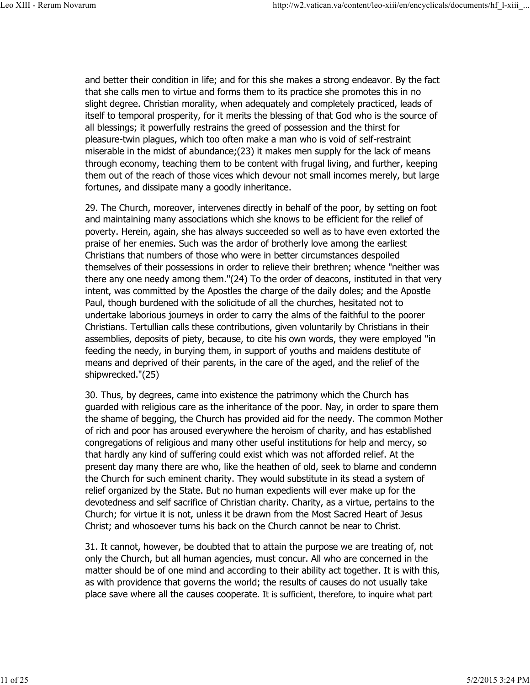and better their condition in life; and for this she makes a strong endeavor. By the fact that she calls men to virtue and forms them to its practice she promotes this in no slight degree. Christian morality, when adequately and completely practiced, leads of itself to temporal prosperity, for it merits the blessing of that God who is the source of all blessings; it powerfully restrains the greed of possession and the thirst for pleasure-twin plagues, which too often make a man who is void of self-restraint miserable in the midst of abundance;(23) it makes men supply for the lack of means through economy, teaching them to be content with frugal living, and further, keeping them out of the reach of those vices which devour not small incomes merely, but large fortunes, and dissipate many a goodly inheritance.

29. The Church, moreover, intervenes directly in behalf of the poor, by setting on foot and maintaining many associations which she knows to be efficient for the relief of poverty. Herein, again, she has always succeeded so well as to have even extorted the praise of her enemies. Such was the ardor of brotherly love among the earliest Christians that numbers of those who were in better circumstances despoiled themselves of their possessions in order to relieve their brethren; whence "neither was there any one needy among them."(24) To the order of deacons, instituted in that very intent, was committed by the Apostles the charge of the daily doles; and the Apostle Paul, though burdened with the solicitude of all the churches, hesitated not to undertake laborious journeys in order to carry the alms of the faithful to the poorer Christians. Tertullian calls these contributions, given voluntarily by Christians in their assemblies, deposits of piety, because, to cite his own words, they were employed "in feeding the needy, in burying them, in support of youths and maidens destitute of means and deprived of their parents, in the care of the aged, and the relief of the shipwrecked."(25)

30. Thus, by degrees, came into existence the patrimony which the Church has guarded with religious care as the inheritance of the poor. Nay, in order to spare them the shame of begging, the Church has provided aid for the needy. The common Mother of rich and poor has aroused everywhere the heroism of charity, and has established congregations of religious and many other useful institutions for help and mercy, so that hardly any kind of suffering could exist which was not afforded relief. At the present day many there are who, like the heathen of old, seek to blame and condemn the Church for such eminent charity. They would substitute in its stead a system of relief organized by the State. But no human expedients will ever make up for the devotedness and self sacrifice of Christian charity. Charity, as a virtue, pertains to the Church; for virtue it is not, unless it be drawn from the Most Sacred Heart of Jesus Christ; and whosoever turns his back on the Church cannot be near to Christ.

31. It cannot, however, be doubted that to attain the purpose we are treating of, not only the Church, but all human agencies, must concur. All who are concerned in the matter should be of one mind and according to their ability act together. It is with this, as with providence that governs the world; the results of causes do not usually take place save where all the causes cooperate. It is sufficient, therefore, to inquire what part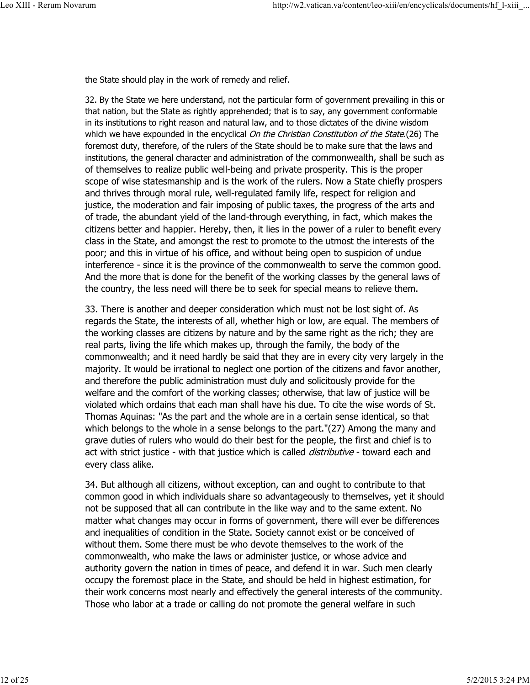the State should play in the work of remedy and relief.

32. By the State we here understand, not the particular form of government prevailing in this or that nation, but the State as rightly apprehended; that is to say, any government conformable in its institutions to right reason and natural law, and to those dictates of the divine wisdom which we have expounded in the encyclical *On the Christian Constitution of the State*.(26) The foremost duty, therefore, of the rulers of the State should be to make sure that the laws and institutions, the general character and administration of the commonwealth, shall be such as of themselves to realize public well-being and private prosperity. This is the proper scope of wise statesmanship and is the work of the rulers. Now a State chiefly prospers and thrives through moral rule, well-regulated family life, respect for religion and justice, the moderation and fair imposing of public taxes, the progress of the arts and of trade, the abundant yield of the land-through everything, in fact, which makes the citizens better and happier. Hereby, then, it lies in the power of a ruler to benefit every class in the State, and amongst the rest to promote to the utmost the interests of the poor; and this in virtue of his office, and without being open to suspicion of undue interference - since it is the province of the commonwealth to serve the common good. And the more that is done for the benefit of the working classes by the general laws of the country, the less need will there be to seek for special means to relieve them.

33. There is another and deeper consideration which must not be lost sight of. As regards the State, the interests of all, whether high or low, are equal. The members of the working classes are citizens by nature and by the same right as the rich; they are real parts, living the life which makes up, through the family, the body of the commonwealth; and it need hardly be said that they are in every city very largely in the majority. It would be irrational to neglect one portion of the citizens and favor another, and therefore the public administration must duly and solicitously provide for the welfare and the comfort of the working classes; otherwise, that law of justice will be violated which ordains that each man shall have his due. To cite the wise words of St. Thomas Aquinas: "As the part and the whole are in a certain sense identical, so that which belongs to the whole in a sense belongs to the part."(27) Among the many and grave duties of rulers who would do their best for the people, the first and chief is to act with strict justice - with that justice which is called *distributive* - toward each and every class alike.

34. But although all citizens, without exception, can and ought to contribute to that common good in which individuals share so advantageously to themselves, yet it should not be supposed that all can contribute in the like way and to the same extent. No matter what changes may occur in forms of government, there will ever be differences and inequalities of condition in the State. Society cannot exist or be conceived of without them. Some there must be who devote themselves to the work of the commonwealth, who make the laws or administer justice, or whose advice and authority govern the nation in times of peace, and defend it in war. Such men clearly occupy the foremost place in the State, and should be held in highest estimation, for their work concerns most nearly and effectively the general interests of the community. Those who labor at a trade or calling do not promote the general welfare in such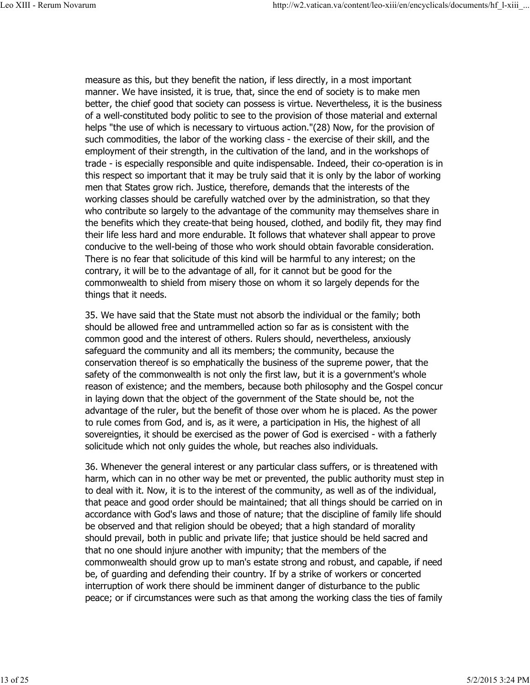measure as this, but they benefit the nation, if less directly, in a most important manner. We have insisted, it is true, that, since the end of society is to make men better, the chief good that society can possess is virtue. Nevertheless, it is the business of a well-constituted body politic to see to the provision of those material and external helps "the use of which is necessary to virtuous action."(28) Now, for the provision of such commodities, the labor of the working class - the exercise of their skill, and the employment of their strength, in the cultivation of the land, and in the workshops of trade - is especially responsible and quite indispensable. Indeed, their co-operation is in this respect so important that it may be truly said that it is only by the labor of working men that States grow rich. Justice, therefore, demands that the interests of the working classes should be carefully watched over by the administration, so that they who contribute so largely to the advantage of the community may themselves share in the benefits which they create-that being housed, clothed, and bodily fit, they may find their life less hard and more endurable. It follows that whatever shall appear to prove conducive to the well-being of those who work should obtain favorable consideration. There is no fear that solicitude of this kind will be harmful to any interest; on the contrary, it will be to the advantage of all, for it cannot but be good for the commonwealth to shield from misery those on whom it so largely depends for the things that it needs.

35. We have said that the State must not absorb the individual or the family; both should be allowed free and untrammelled action so far as is consistent with the common good and the interest of others. Rulers should, nevertheless, anxiously safeguard the community and all its members; the community, because the conservation thereof is so emphatically the business of the supreme power, that the safety of the commonwealth is not only the first law, but it is a government's whole reason of existence; and the members, because both philosophy and the Gospel concur in laying down that the object of the government of the State should be, not the advantage of the ruler, but the benefit of those over whom he is placed. As the power to rule comes from God, and is, as it were, a participation in His, the highest of all sovereignties, it should be exercised as the power of God is exercised - with a fatherly solicitude which not only guides the whole, but reaches also individuals.

36. Whenever the general interest or any particular class suffers, or is threatened with harm, which can in no other way be met or prevented, the public authority must step in to deal with it. Now, it is to the interest of the community, as well as of the individual, that peace and good order should be maintained; that all things should be carried on in accordance with God's laws and those of nature; that the discipline of family life should be observed and that religion should be obeyed; that a high standard of morality should prevail, both in public and private life; that justice should be held sacred and that no one should injure another with impunity; that the members of the commonwealth should grow up to man's estate strong and robust, and capable, if need be, of guarding and defending their country. If by a strike of workers or concerted interruption of work there should be imminent danger of disturbance to the public peace; or if circumstances were such as that among the working class the ties of family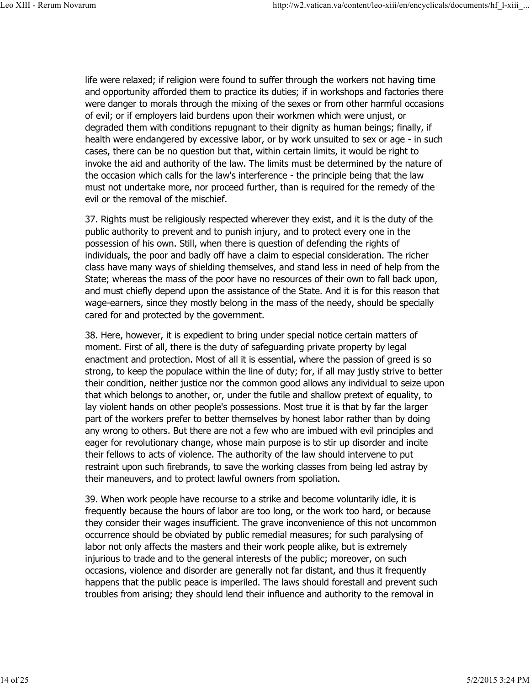life were relaxed; if religion were found to suffer through the workers not having time and opportunity afforded them to practice its duties; if in workshops and factories there were danger to morals through the mixing of the sexes or from other harmful occasions of evil; or if employers laid burdens upon their workmen which were unjust, or degraded them with conditions repugnant to their dignity as human beings; finally, if health were endangered by excessive labor, or by work unsuited to sex or age - in such cases, there can be no question but that, within certain limits, it would be right to invoke the aid and authority of the law. The limits must be determined by the nature of the occasion which calls for the law's interference - the principle being that the law must not undertake more, nor proceed further, than is required for the remedy of the evil or the removal of the mischief.

37. Rights must be religiously respected wherever they exist, and it is the duty of the public authority to prevent and to punish injury, and to protect every one in the possession of his own. Still, when there is question of defending the rights of individuals, the poor and badly off have a claim to especial consideration. The richer class have many ways of shielding themselves, and stand less in need of help from the State; whereas the mass of the poor have no resources of their own to fall back upon, and must chiefly depend upon the assistance of the State. And it is for this reason that wage-earners, since they mostly belong in the mass of the needy, should be specially cared for and protected by the government.

38. Here, however, it is expedient to bring under special notice certain matters of moment. First of all, there is the duty of safeguarding private property by legal enactment and protection. Most of all it is essential, where the passion of greed is so strong, to keep the populace within the line of duty; for, if all may justly strive to better their condition, neither justice nor the common good allows any individual to seize upon that which belongs to another, or, under the futile and shallow pretext of equality, to lay violent hands on other people's possessions. Most true it is that by far the larger part of the workers prefer to better themselves by honest labor rather than by doing any wrong to others. But there are not a few who are imbued with evil principles and eager for revolutionary change, whose main purpose is to stir up disorder and incite their fellows to acts of violence. The authority of the law should intervene to put restraint upon such firebrands, to save the working classes from being led astray by their maneuvers, and to protect lawful owners from spoliation.

39. When work people have recourse to a strike and become voluntarily idle, it is frequently because the hours of labor are too long, or the work too hard, or because they consider their wages insufficient. The grave inconvenience of this not uncommon occurrence should be obviated by public remedial measures; for such paralysing of labor not only affects the masters and their work people alike, but is extremely injurious to trade and to the general interests of the public; moreover, on such occasions, violence and disorder are generally not far distant, and thus it frequently happens that the public peace is imperiled. The laws should forestall and prevent such troubles from arising; they should lend their influence and authority to the removal in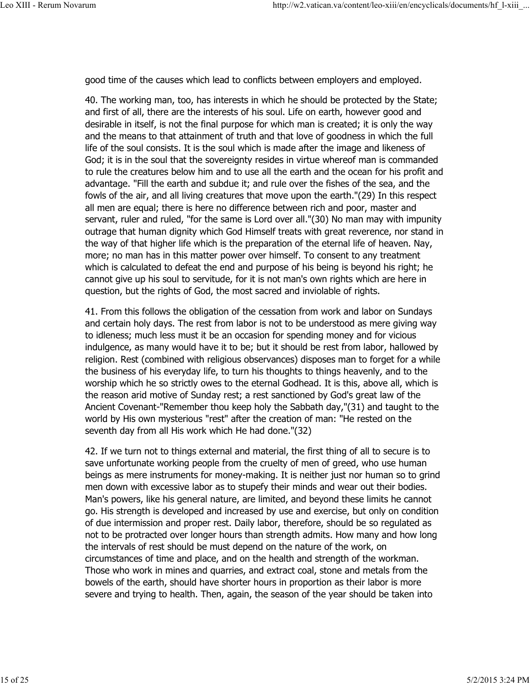good time of the causes which lead to conflicts between employers and employed.

40. The working man, too, has interests in which he should be protected by the State; and first of all, there are the interests of his soul. Life on earth, however good and desirable in itself, is not the final purpose for which man is created; it is only the way and the means to that attainment of truth and that love of goodness in which the full life of the soul consists. It is the soul which is made after the image and likeness of God; it is in the soul that the sovereignty resides in virtue whereof man is commanded to rule the creatures below him and to use all the earth and the ocean for his profit and advantage. "Fill the earth and subdue it; and rule over the fishes of the sea, and the fowls of the air, and all living creatures that move upon the earth."(29) In this respect all men are equal; there is here no difference between rich and poor, master and servant, ruler and ruled, "for the same is Lord over all."(30) No man may with impunity outrage that human dignity which God Himself treats with great reverence, nor stand in the way of that higher life which is the preparation of the eternal life of heaven. Nay, more; no man has in this matter power over himself. To consent to any treatment which is calculated to defeat the end and purpose of his being is beyond his right; he cannot give up his soul to servitude, for it is not man's own rights which are here in question, but the rights of God, the most sacred and inviolable of rights.

41. From this follows the obligation of the cessation from work and labor on Sundays and certain holy days. The rest from labor is not to be understood as mere giving way to idleness; much less must it be an occasion for spending money and for vicious indulgence, as many would have it to be; but it should be rest from labor, hallowed by religion. Rest (combined with religious observances) disposes man to forget for a while the business of his everyday life, to turn his thoughts to things heavenly, and to the worship which he so strictly owes to the eternal Godhead. It is this, above all, which is the reason arid motive of Sunday rest; a rest sanctioned by God's great law of the Ancient Covenant-"Remember thou keep holy the Sabbath day,"(31) and taught to the world by His own mysterious "rest" after the creation of man: "He rested on the seventh day from all His work which He had done."(32)

42. If we turn not to things external and material, the first thing of all to secure is to save unfortunate working people from the cruelty of men of greed, who use human beings as mere instruments for money-making. It is neither just nor human so to grind men down with excessive labor as to stupefy their minds and wear out their bodies. Man's powers, like his general nature, are limited, and beyond these limits he cannot go. His strength is developed and increased by use and exercise, but only on condition of due intermission and proper rest. Daily labor, therefore, should be so regulated as not to be protracted over longer hours than strength admits. How many and how long the intervals of rest should be must depend on the nature of the work, on circumstances of time and place, and on the health and strength of the workman. Those who work in mines and quarries, and extract coal, stone and metals from the bowels of the earth, should have shorter hours in proportion as their labor is more severe and trying to health. Then, again, the season of the year should be taken into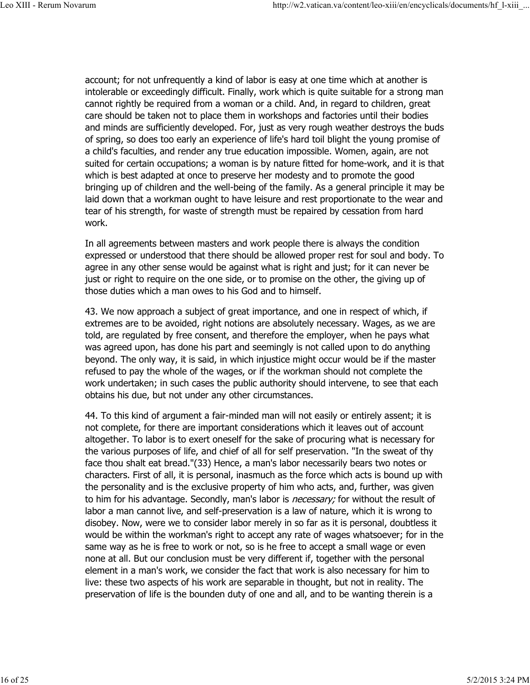account; for not unfrequently a kind of labor is easy at one time which at another is intolerable or exceedingly difficult. Finally, work which is quite suitable for a strong man cannot rightly be required from a woman or a child. And, in regard to children, great care should be taken not to place them in workshops and factories until their bodies and minds are sufficiently developed. For, just as very rough weather destroys the buds of spring, so does too early an experience of life's hard toil blight the young promise of a child's faculties, and render any true education impossible. Women, again, are not suited for certain occupations; a woman is by nature fitted for home-work, and it is that which is best adapted at once to preserve her modesty and to promote the good bringing up of children and the well-being of the family. As a general principle it may be laid down that a workman ought to have leisure and rest proportionate to the wear and tear of his strength, for waste of strength must be repaired by cessation from hard work.

In all agreements between masters and work people there is always the condition expressed or understood that there should be allowed proper rest for soul and body. To agree in any other sense would be against what is right and just; for it can never be just or right to require on the one side, or to promise on the other, the giving up of those duties which a man owes to his God and to himself.

43. We now approach a subject of great importance, and one in respect of which, if extremes are to be avoided, right notions are absolutely necessary. Wages, as we are told, are regulated by free consent, and therefore the employer, when he pays what was agreed upon, has done his part and seemingly is not called upon to do anything beyond. The only way, it is said, in which injustice might occur would be if the master refused to pay the whole of the wages, or if the workman should not complete the work undertaken; in such cases the public authority should intervene, to see that each obtains his due, but not under any other circumstances.

44. To this kind of argument a fair-minded man will not easily or entirely assent; it is not complete, for there are important considerations which it leaves out of account altogether. To labor is to exert oneself for the sake of procuring what is necessary for the various purposes of life, and chief of all for self preservation. "In the sweat of thy face thou shalt eat bread."(33) Hence, a man's labor necessarily bears two notes or characters. First of all, it is personal, inasmuch as the force which acts is bound up with the personality and is the exclusive property of him who acts, and, further, was given to him for his advantage. Secondly, man's labor is *necessary;* for without the result of labor a man cannot live, and self-preservation is a law of nature, which it is wrong to disobey. Now, were we to consider labor merely in so far as it is personal, doubtless it would be within the workman's right to accept any rate of wages whatsoever; for in the same way as he is free to work or not, so is he free to accept a small wage or even none at all. But our conclusion must be very different if, together with the personal element in a man's work, we consider the fact that work is also necessary for him to live: these two aspects of his work are separable in thought, but not in reality. The preservation of life is the bounden duty of one and all, and to be wanting therein is a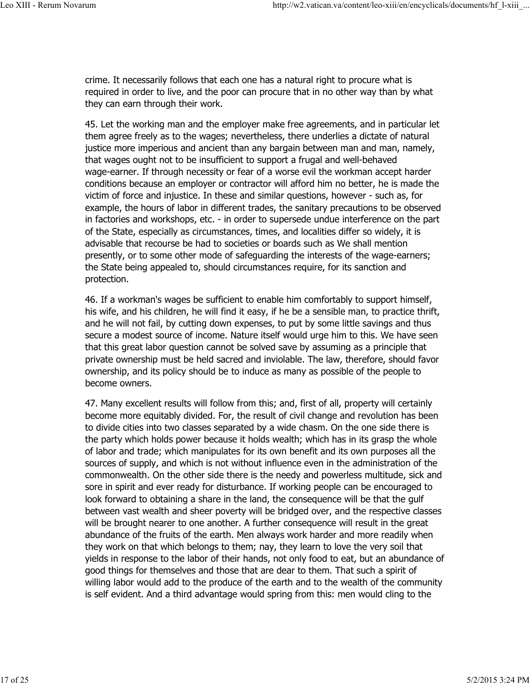crime. It necessarily follows that each one has a natural right to procure what is required in order to live, and the poor can procure that in no other way than by what they can earn through their work.

45. Let the working man and the employer make free agreements, and in particular let them agree freely as to the wages; nevertheless, there underlies a dictate of natural justice more imperious and ancient than any bargain between man and man, namely, that wages ought not to be insufficient to support a frugal and well-behaved wage-earner. If through necessity or fear of a worse evil the workman accept harder conditions because an employer or contractor will afford him no better, he is made the victim of force and injustice. In these and similar questions, however - such as, for example, the hours of labor in different trades, the sanitary precautions to be observed in factories and workshops, etc. - in order to supersede undue interference on the part of the State, especially as circumstances, times, and localities differ so widely, it is advisable that recourse be had to societies or boards such as We shall mention presently, or to some other mode of safeguarding the interests of the wage-earners; the State being appealed to, should circumstances require, for its sanction and protection.

46. If a workman's wages be sufficient to enable him comfortably to support himself, his wife, and his children, he will find it easy, if he be a sensible man, to practice thrift, and he will not fail, by cutting down expenses, to put by some little savings and thus secure a modest source of income. Nature itself would urge him to this. We have seen that this great labor question cannot be solved save by assuming as a principle that private ownership must be held sacred and inviolable. The law, therefore, should favor ownership, and its policy should be to induce as many as possible of the people to become owners.

47. Many excellent results will follow from this; and, first of all, property will certainly become more equitably divided. For, the result of civil change and revolution has been to divide cities into two classes separated by a wide chasm. On the one side there is the party which holds power because it holds wealth; which has in its grasp the whole of labor and trade; which manipulates for its own benefit and its own purposes all the sources of supply, and which is not without influence even in the administration of the commonwealth. On the other side there is the needy and powerless multitude, sick and sore in spirit and ever ready for disturbance. If working people can be encouraged to look forward to obtaining a share in the land, the consequence will be that the gulf between vast wealth and sheer poverty will be bridged over, and the respective classes will be brought nearer to one another. A further consequence will result in the great abundance of the fruits of the earth. Men always work harder and more readily when they work on that which belongs to them; nay, they learn to love the very soil that yields in response to the labor of their hands, not only food to eat, but an abundance of good things for themselves and those that are dear to them. That such a spirit of willing labor would add to the produce of the earth and to the wealth of the community is self evident. And a third advantage would spring from this: men would cling to the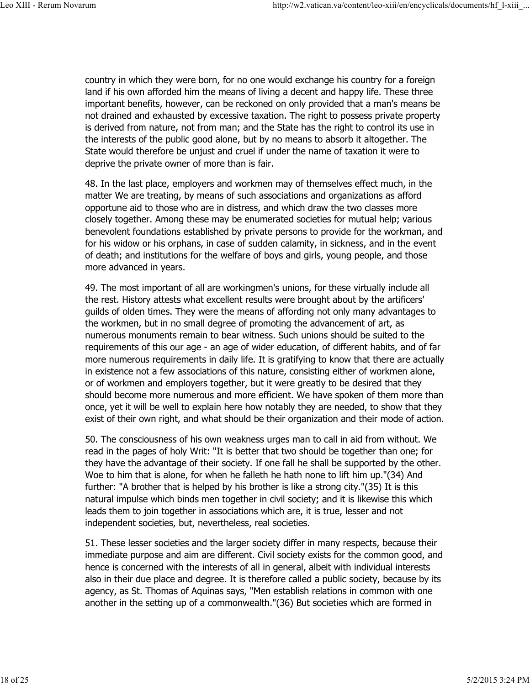country in which they were born, for no one would exchange his country for a foreign land if his own afforded him the means of living a decent and happy life. These three important benefits, however, can be reckoned on only provided that a man's means be not drained and exhausted by excessive taxation. The right to possess private property is derived from nature, not from man; and the State has the right to control its use in the interests of the public good alone, but by no means to absorb it altogether. The State would therefore be unjust and cruel if under the name of taxation it were to deprive the private owner of more than is fair.

48. In the last place, employers and workmen may of themselves effect much, in the matter We are treating, by means of such associations and organizations as afford opportune aid to those who are in distress, and which draw the two classes more closely together. Among these may be enumerated societies for mutual help; various benevolent foundations established by private persons to provide for the workman, and for his widow or his orphans, in case of sudden calamity, in sickness, and in the event of death; and institutions for the welfare of boys and girls, young people, and those more advanced in years.

49. The most important of all are workingmen's unions, for these virtually include all the rest. History attests what excellent results were brought about by the artificers' guilds of olden times. They were the means of affording not only many advantages to the workmen, but in no small degree of promoting the advancement of art, as numerous monuments remain to bear witness. Such unions should be suited to the requirements of this our age - an age of wider education, of different habits, and of far more numerous requirements in daily life. It is gratifying to know that there are actually in existence not a few associations of this nature, consisting either of workmen alone, or of workmen and employers together, but it were greatly to be desired that they should become more numerous and more efficient. We have spoken of them more than once, yet it will be well to explain here how notably they are needed, to show that they exist of their own right, and what should be their organization and their mode of action.

50. The consciousness of his own weakness urges man to call in aid from without. We read in the pages of holy Writ: "It is better that two should be together than one; for they have the advantage of their society. If one fall he shall be supported by the other. Woe to him that is alone, for when he falleth he hath none to lift him up."(34) And further: "A brother that is helped by his brother is like a strong city."(35) It is this natural impulse which binds men together in civil society; and it is likewise this which leads them to join together in associations which are, it is true, lesser and not independent societies, but, nevertheless, real societies.

51. These lesser societies and the larger society differ in many respects, because their immediate purpose and aim are different. Civil society exists for the common good, and hence is concerned with the interests of all in general, albeit with individual interests also in their due place and degree. It is therefore called a public society, because by its agency, as St. Thomas of Aquinas says, "Men establish relations in common with one another in the setting up of a commonwealth."(36) But societies which are formed in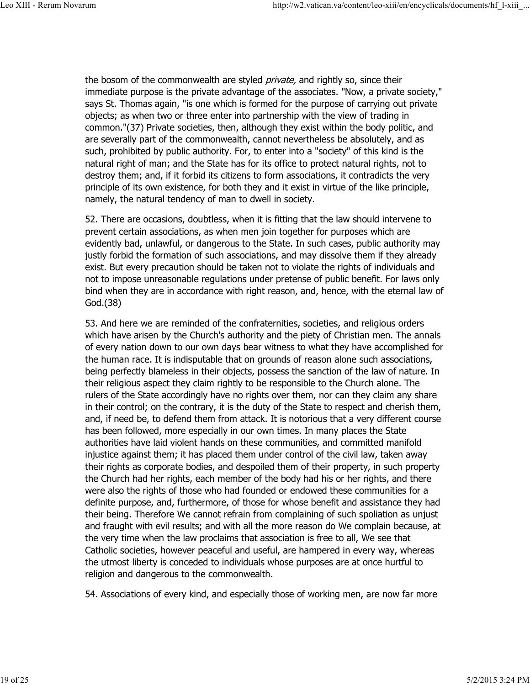the bosom of the commonwealth are styled *private*, and rightly so, since their immediate purpose is the private advantage of the associates. "Now, a private society," says St. Thomas again, "is one which is formed for the purpose of carrying out private objects; as when two or three enter into partnership with the view of trading in common."(37) Private societies, then, although they exist within the body politic, and are severally part of the commonwealth, cannot nevertheless be absolutely, and as such, prohibited by public authority. For, to enter into a "society" of this kind is the natural right of man; and the State has for its office to protect natural rights, not to destroy them; and, if it forbid its citizens to form associations, it contradicts the very principle of its own existence, for both they and it exist in virtue of the like principle, namely, the natural tendency of man to dwell in society.

52. There are occasions, doubtless, when it is fitting that the law should intervene to prevent certain associations, as when men join together for purposes which are evidently bad, unlawful, or dangerous to the State. In such cases, public authority may justly forbid the formation of such associations, and may dissolve them if they already exist. But every precaution should be taken not to violate the rights of individuals and not to impose unreasonable regulations under pretense of public benefit. For laws only bind when they are in accordance with right reason, and, hence, with the eternal law of God.(38)

53. And here we are reminded of the confraternities, societies, and religious orders which have arisen by the Church's authority and the piety of Christian men. The annals of every nation down to our own days bear witness to what they have accomplished for the human race. It is indisputable that on grounds of reason alone such associations, being perfectly blameless in their objects, possess the sanction of the law of nature. In their religious aspect they claim rightly to be responsible to the Church alone. The rulers of the State accordingly have no rights over them, nor can they claim any share in their control; on the contrary, it is the duty of the State to respect and cherish them, and, if need be, to defend them from attack. It is notorious that a very different course has been followed, more especially in our own times. In many places the State authorities have laid violent hands on these communities, and committed manifold injustice against them; it has placed them under control of the civil law, taken away their rights as corporate bodies, and despoiled them of their property, in such property the Church had her rights, each member of the body had his or her rights, and there were also the rights of those who had founded or endowed these communities for a definite purpose, and, furthermore, of those for whose benefit and assistance they had their being. Therefore We cannot refrain from complaining of such spoliation as unjust and fraught with evil results; and with all the more reason do We complain because, at the very time when the law proclaims that association is free to all, We see that Catholic societies, however peaceful and useful, are hampered in every way, whereas the utmost liberty is conceded to individuals whose purposes are at once hurtful to religion and dangerous to the commonwealth.

54. Associations of every kind, and especially those of working men, are now far more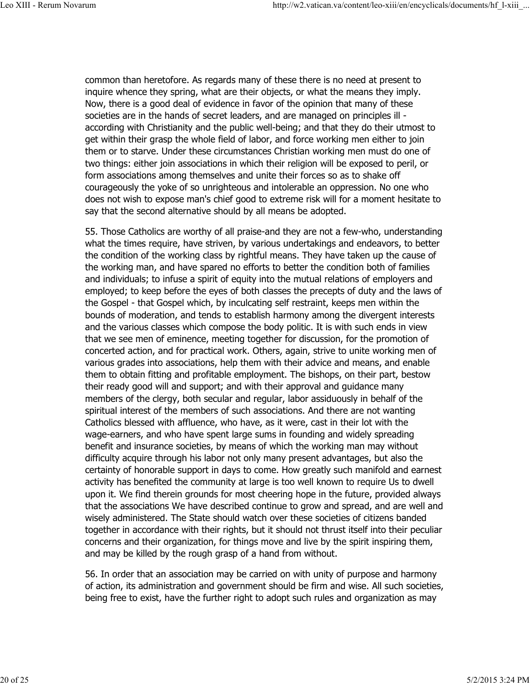common than heretofore. As regards many of these there is no need at present to inquire whence they spring, what are their objects, or what the means they imply. Now, there is a good deal of evidence in favor of the opinion that many of these societies are in the hands of secret leaders, and are managed on principles ill according with Christianity and the public well-being; and that they do their utmost to get within their grasp the whole field of labor, and force working men either to join them or to starve. Under these circumstances Christian working men must do one of two things: either join associations in which their religion will be exposed to peril, or form associations among themselves and unite their forces so as to shake off courageously the yoke of so unrighteous and intolerable an oppression. No one who does not wish to expose man's chief good to extreme risk will for a moment hesitate to say that the second alternative should by all means be adopted.

55. Those Catholics are worthy of all praise-and they are not a few-who, understanding what the times require, have striven, by various undertakings and endeavors, to better the condition of the working class by rightful means. They have taken up the cause of the working man, and have spared no efforts to better the condition both of families and individuals; to infuse a spirit of equity into the mutual relations of employers and employed; to keep before the eyes of both classes the precepts of duty and the laws of the Gospel - that Gospel which, by inculcating self restraint, keeps men within the bounds of moderation, and tends to establish harmony among the divergent interests and the various classes which compose the body politic. It is with such ends in view that we see men of eminence, meeting together for discussion, for the promotion of concerted action, and for practical work. Others, again, strive to unite working men of various grades into associations, help them with their advice and means, and enable them to obtain fitting and profitable employment. The bishops, on their part, bestow their ready good will and support; and with their approval and guidance many members of the clergy, both secular and regular, labor assiduously in behalf of the spiritual interest of the members of such associations. And there are not wanting Catholics blessed with affluence, who have, as it were, cast in their lot with the wage-earners, and who have spent large sums in founding and widely spreading benefit and insurance societies, by means of which the working man may without difficulty acquire through his labor not only many present advantages, but also the certainty of honorable support in days to come. How greatly such manifold and earnest activity has benefited the community at large is too well known to require Us to dwell upon it. We find therein grounds for most cheering hope in the future, provided always that the associations We have described continue to grow and spread, and are well and wisely administered. The State should watch over these societies of citizens banded together in accordance with their rights, but it should not thrust itself into their peculiar concerns and their organization, for things move and live by the spirit inspiring them, and may be killed by the rough grasp of a hand from without.

56. In order that an association may be carried on with unity of purpose and harmony of action, its administration and government should be firm and wise. All such societies, being free to exist, have the further right to adopt such rules and organization as may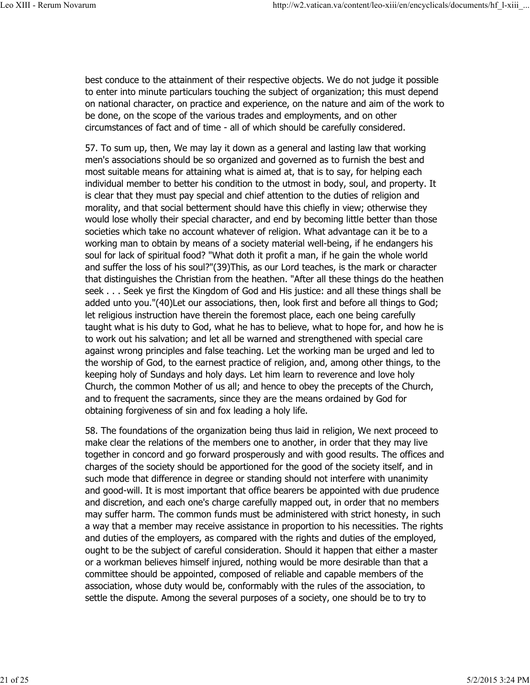best conduce to the attainment of their respective objects. We do not judge it possible to enter into minute particulars touching the subject of organization; this must depend on national character, on practice and experience, on the nature and aim of the work to be done, on the scope of the various trades and employments, and on other circumstances of fact and of time - all of which should be carefully considered.

57. To sum up, then, We may lay it down as a general and lasting law that working men's associations should be so organized and governed as to furnish the best and most suitable means for attaining what is aimed at, that is to say, for helping each individual member to better his condition to the utmost in body, soul, and property. It is clear that they must pay special and chief attention to the duties of religion and morality, and that social betterment should have this chiefly in view; otherwise they would lose wholly their special character, and end by becoming little better than those societies which take no account whatever of religion. What advantage can it be to a working man to obtain by means of a society material well-being, if he endangers his soul for lack of spiritual food? "What doth it profit a man, if he gain the whole world and suffer the loss of his soul?"(39)This, as our Lord teaches, is the mark or character that distinguishes the Christian from the heathen. "After all these things do the heathen seek . . . Seek ye first the Kingdom of God and His justice: and all these things shall be added unto you."(40)Let our associations, then, look first and before all things to God; let religious instruction have therein the foremost place, each one being carefully taught what is his duty to God, what he has to believe, what to hope for, and how he is to work out his salvation; and let all be warned and strengthened with special care against wrong principles and false teaching. Let the working man be urged and led to the worship of God, to the earnest practice of religion, and, among other things, to the keeping holy of Sundays and holy days. Let him learn to reverence and love holy Church, the common Mother of us all; and hence to obey the precepts of the Church, and to frequent the sacraments, since they are the means ordained by God for obtaining forgiveness of sin and fox leading a holy life.

58. The foundations of the organization being thus laid in religion, We next proceed to make clear the relations of the members one to another, in order that they may live together in concord and go forward prosperously and with good results. The offices and charges of the society should be apportioned for the good of the society itself, and in such mode that difference in degree or standing should not interfere with unanimity and good-will. It is most important that office bearers be appointed with due prudence and discretion, and each one's charge carefully mapped out, in order that no members may suffer harm. The common funds must be administered with strict honesty, in such a way that a member may receive assistance in proportion to his necessities. The rights and duties of the employers, as compared with the rights and duties of the employed, ought to be the subject of careful consideration. Should it happen that either a master or a workman believes himself injured, nothing would be more desirable than that a committee should be appointed, composed of reliable and capable members of the association, whose duty would be, conformably with the rules of the association, to settle the dispute. Among the several purposes of a society, one should be to try to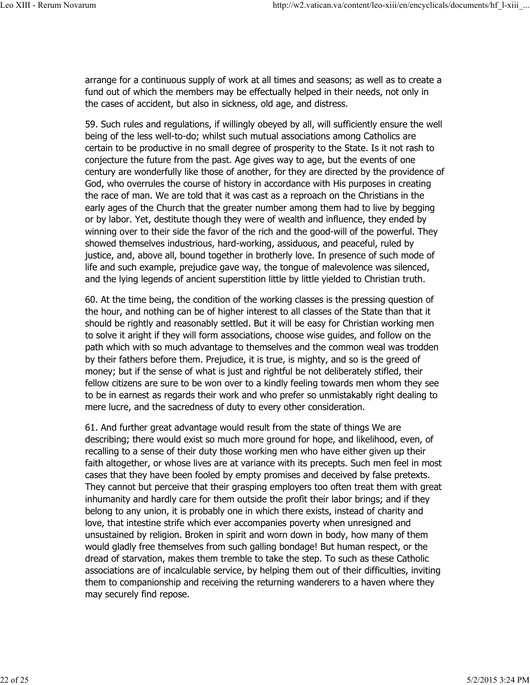arrange for a continuous supply of work at all times and seasons; as well as to create a fund out of which the members may be effectually helped in their needs, not only in the cases of accident, but also in sickness, old age, and distress.

59. Such rules and regulations, if willingly obeyed by all, will sufficiently ensure the well being of the less well-to-do; whilst such mutual associations among Catholics are certain to be productive in no small degree of prosperity to the State. Is it not rash to conjecture the future from the past. Age gives way to age, but the events of one century are wonderfully like those of another, for they are directed by the providence of God, who overrules the course of history in accordance with His purposes in creating the race of man. We are told that it was cast as a reproach on the Christians in the early ages of the Church that the greater number among them had to live by begging or by labor. Yet, destitute though they were of wealth and influence, they ended by winning over to their side the favor of the rich and the good-will of the powerful. They showed themselves industrious, hard-working, assiduous, and peaceful, ruled by justice, and, above all, bound together in brotherly love. In presence of such mode of life and such example, prejudice gave way, the tongue of malevolence was silenced, and the lying legends of ancient superstition little by little yielded to Christian truth.

60. At the time being, the condition of the working classes is the pressing question of the hour, and nothing can be of higher interest to all classes of the State than that it should be rightly and reasonably settled. But it will be easy for Christian working men to solve it aright if they will form associations, choose wise guides, and follow on the path which with so much advantage to themselves and the common weal was trodden by their fathers before them. Prejudice, it is true, is mighty, and so is the greed of money; but if the sense of what is just and rightful be not deliberately stifled, their fellow citizens are sure to be won over to a kindly feeling towards men whom they see to be in earnest as regards their work and who prefer so unmistakably right dealing to mere lucre, and the sacredness of duty to every other consideration.

61. And further great advantage would result from the state of things We are describing; there would exist so much more ground for hope, and likelihood, even, of recalling to a sense of their duty those working men who have either given up their faith altogether, or whose lives are at variance with its precepts. Such men feel in most cases that they have been fooled by empty promises and deceived by false pretexts. They cannot but perceive that their grasping employers too often treat them with great inhumanity and hardly care for them outside the profit their labor brings; and if they belong to any union, it is probably one in which there exists, instead of charity and love, that intestine strife which ever accompanies poverty when unresigned and unsustained by religion. Broken in spirit and worn down in body, how many of them would gladly free themselves from such galling bondage! But human respect, or the dread of starvation, makes them tremble to take the step. To such as these Catholic associations are of incalculable service, by helping them out of their difficulties, inviting them to companionship and receiving the returning wanderers to a haven where they may securely find repose.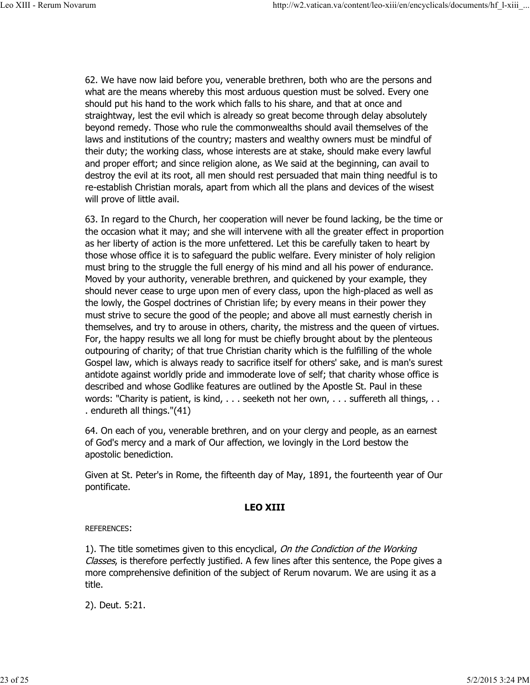62. We have now laid before you, venerable brethren, both who are the persons and what are the means whereby this most arduous question must be solved. Every one should put his hand to the work which falls to his share, and that at once and straightway, lest the evil which is already so great become through delay absolutely beyond remedy. Those who rule the commonwealths should avail themselves of the laws and institutions of the country; masters and wealthy owners must be mindful of their duty; the working class, whose interests are at stake, should make every lawful and proper effort; and since religion alone, as We said at the beginning, can avail to destroy the evil at its root, all men should rest persuaded that main thing needful is to re-establish Christian morals, apart from which all the plans and devices of the wisest will prove of little avail.

63. In regard to the Church, her cooperation will never be found lacking, be the time or the occasion what it may; and she will intervene with all the greater effect in proportion as her liberty of action is the more unfettered. Let this be carefully taken to heart by those whose office it is to safeguard the public welfare. Every minister of holy religion must bring to the struggle the full energy of his mind and all his power of endurance. Moved by your authority, venerable brethren, and quickened by your example, they should never cease to urge upon men of every class, upon the high-placed as well as the lowly, the Gospel doctrines of Christian life; by every means in their power they must strive to secure the good of the people; and above all must earnestly cherish in themselves, and try to arouse in others, charity, the mistress and the queen of virtues. For, the happy results we all long for must be chiefly brought about by the plenteous outpouring of charity; of that true Christian charity which is the fulfilling of the whole Gospel law, which is always ready to sacrifice itself for others' sake, and is man's surest antidote against worldly pride and immoderate love of self; that charity whose office is described and whose Godlike features are outlined by the Apostle St. Paul in these words: "Charity is patient, is kind, . . . seeketh not her own, . . . suffereth all things, . . . endureth all things."(41)

64. On each of you, venerable brethren, and on your clergy and people, as an earnest of God's mercy and a mark of Our affection, we lovingly in the Lord bestow the apostolic benediction.

Given at St. Peter's in Rome, the fifteenth day of May, 1891, the fourteenth year of Our pontificate.

## **LEO XIII**

REFERENCES:

1). The title sometimes given to this encyclical, On the Condiction of the Working Classes, is therefore perfectly justified. A few lines after this sentence, the Pope gives a more comprehensive definition of the subject of Rerum novarum. We are using it as a title.

2). Deut. 5:21.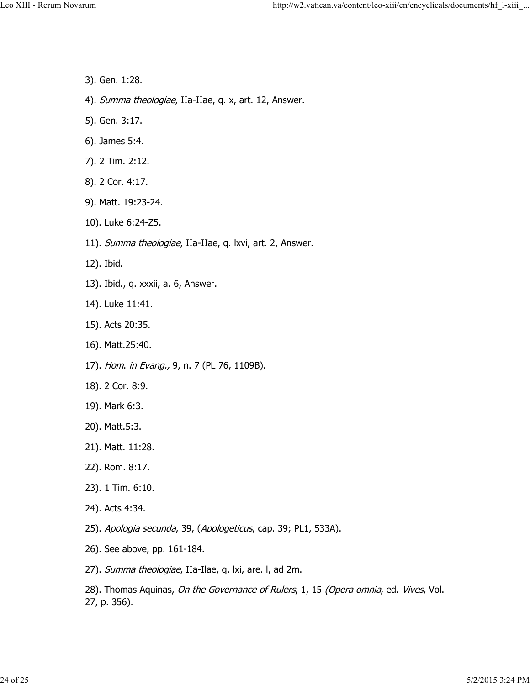- 3). Gen. 1:28.
- 4). Summa theologiae, IIa-IIae, q. x, art. 12, Answer.
- 5). Gen. 3:17.
- 6). James 5:4.
- 7). 2 Tim. 2:12.
- 8). 2 Cor. 4:17.
- 9). Matt. 19:23-24.
- 10). Luke 6:24-Z5.
- 11). Summa theologiae, IIa-IIae, q. lxvi, art. 2, Answer.
- 12). Ibid.
- 13). Ibid., q. xxxii, a. 6, Answer.
- 14). Luke 11:41.
- 15). Acts 20:35.
- 16). Matt.25:40.
- 17). Hom. in Evang., 9, n. 7 (PL 76, 1109B).
- 18). 2 Cor. 8:9.
- 19). Mark 6:3.
- 20). Matt.5:3.
- 21). Matt. 11:28.
- 22). Rom. 8:17.
- 23). 1 Tim. 6:10.
- 24). Acts 4:34.
- 25). Apologia secunda, 39, (Apologeticus, cap. 39; PL1, 533A).
- 26). See above, pp. 161-184.
- 27). Summa theologiae, IIa-Ilae, q. lxi, are. I, ad 2m.
- 28). Thomas Aquinas, On the Governance of Rulers, 1, 15 (Opera omnia, ed. Vives, Vol. 27, p. 356).